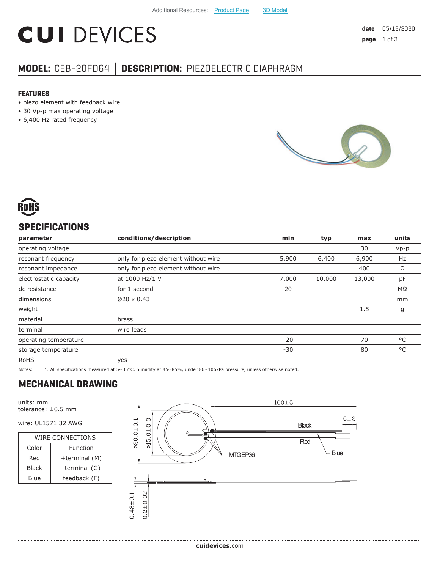# **CUI DEVICES**

# **MODEL:** CEB-20FD64 **│ DESCRIPTION:** PIEZOELECTRIC DIAPHRAGM

#### **FEATURES**

- piezo element with feedback wire
- 30 Vp-p max operating voltage
- 6,400 Hz rated frequency





# **SPECIFICATIONS**

| parameter              | conditions/description              | min   | typ    | max    | units        |
|------------------------|-------------------------------------|-------|--------|--------|--------------|
| operating voltage      |                                     |       |        | 30     | $Vp-p$       |
| resonant frequency     | only for piezo element without wire | 5,900 | 6,400  | 6,900  | Hz           |
| resonant impedance     | only for piezo element without wire |       |        | 400    | Ω            |
| electrostatic capacity | at 1000 Hz/1 V                      | 7,000 | 10,000 | 13,000 | pF           |
| dc resistance          | for 1 second                        | 20    |        |        | ΜΩ           |
| dimensions             | $Ø20 \times 0.43$                   |       |        |        | mm           |
| weight                 |                                     |       |        | 1.5    | g            |
| material               | brass                               |       |        |        |              |
| terminal               | wire leads                          |       |        |        |              |
| operating temperature  |                                     | $-20$ |        | 70     | °C           |
| storage temperature    |                                     | $-30$ |        | 80     | $^{\circ}$ C |
| <b>RoHS</b>            | yes                                 |       |        |        |              |

Notes: 1. All specifications measured at 5~35°C, humidity at 45~85%, under 86~106kPa pressure, unless otherwise noted.

# **MECHANICAL DRAWING**

units: mm tolerance: ±0.5 mm

### wire: UL1571 32 AWG

......................................

| <b>WIRE CONNECTIONS</b> |               |  |  |  |
|-------------------------|---------------|--|--|--|
| Color                   | Function      |  |  |  |
| Red                     | +terminal (M) |  |  |  |
| <b>Black</b>            | -terminal (G) |  |  |  |
| Blue                    | feedback (F)  |  |  |  |

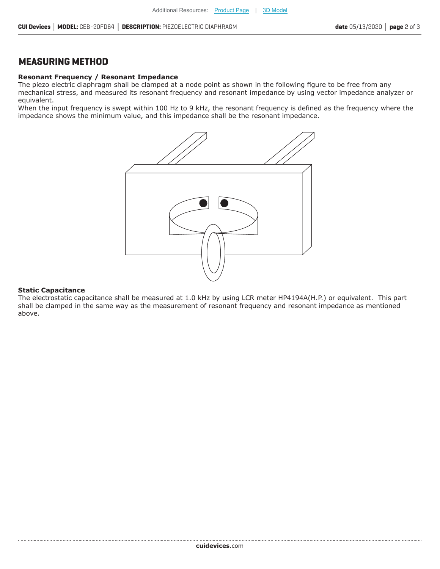## **MEASURING METHOD**

#### **Resonant Frequency / Resonant Impedance**

The piezo electric diaphragm shall be clamped at a node point as shown in the following figure to be free from any mechanical stress, and measured its resonant frequency and resonant impedance by using vector impedance analyzer or equivalent.

When the input frequency is swept within 100 Hz to 9 kHz, the resonant frequency is defined as the frequency where the impedance shows the minimum value, and this impedance shall be the resonant impedance.



#### **Static Capacitance**

The electrostatic capacitance shall be measured at 1.0 kHz by using LCR meter HP4194A(H.P.) or equivalent. This part shall be clamped in the same way as the measurement of resonant frequency and resonant impedance as mentioned above.